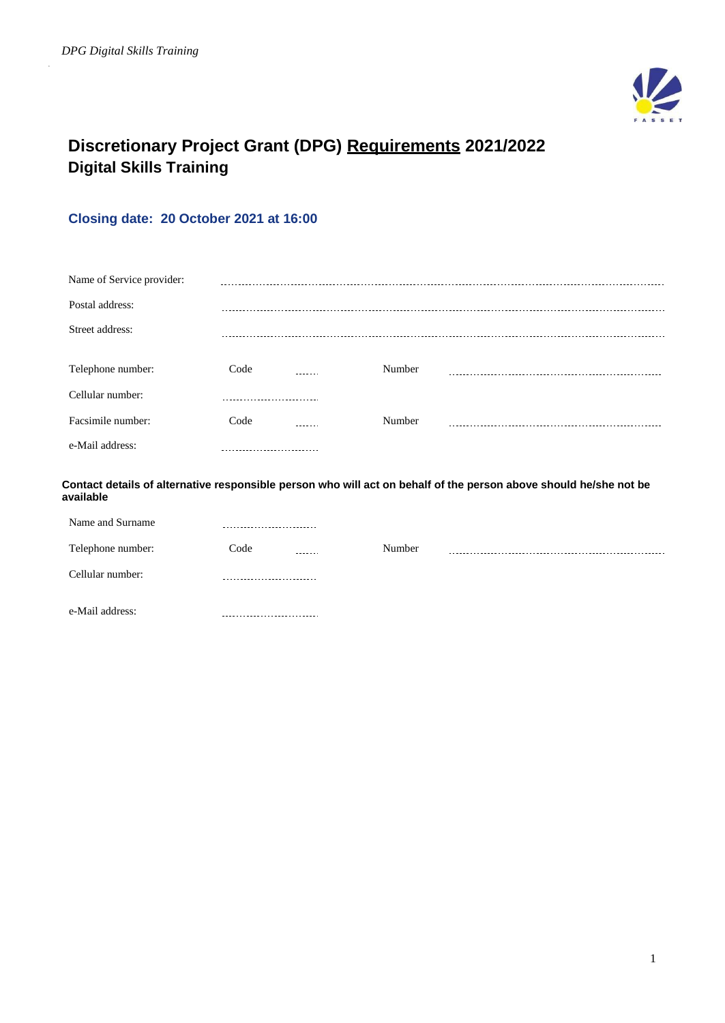

# **Discretionary Project Grant (DPG) Requirements 2021/2022 Digital Skills Training**

# **Closing date: 20 October 2021 at 16:00**

| Name of Service provider: |      |        |        |  |
|---------------------------|------|--------|--------|--|
| Postal address:           |      |        |        |  |
| Street address:           |      |        |        |  |
|                           |      |        |        |  |
| Telephone number:         | Code |        | Number |  |
| Cellular number:          |      |        |        |  |
| Facsimile number:         | Code | ------ | Number |  |
| e-Mail address:           |      |        |        |  |

**Contact details of alternative responsible person who will act on behalf of the person above should he/she not be available**

| Name and Surname  | --------------------------- |        |  |
|-------------------|-----------------------------|--------|--|
| Telephone number: | Code<br>-------             | Number |  |
| Cellular number:  | --------------------------- |        |  |
| e-Mail address:   |                             |        |  |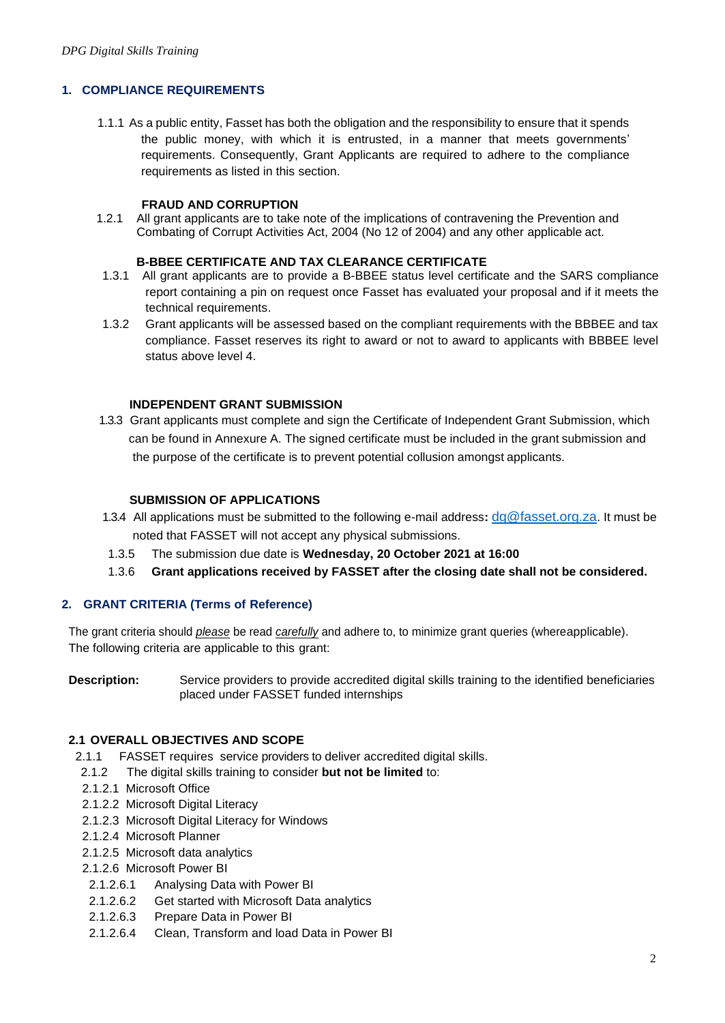# **1. COMPLIANCE REQUIREMENTS**

1.1.1 As a public entity, Fasset has both the obligation and the responsibility to ensure that it spends the public money, with which it is entrusted, in a manner that meets governments' requirements. Consequently, Grant Applicants are required to adhere to the compliance requirements as listed in this section.

#### **FRAUD AND CORRUPTION**

1.2.1 All grant applicants are to take note of the implications of contravening the Prevention and Combating of Corrupt Activities Act, 2004 (No 12 of 2004) and any other applicable act.

#### **B-BBEE CERTIFICATE AND TAX CLEARANCE CERTIFICATE**

- 1.3.1 All grant applicants are to provide a B-BBEE status level certificate and the SARS compliance report containing a pin on request once Fasset has evaluated your proposal and if it meets the technical requirements.
- 1.3.2 Grant applicants will be assessed based on the compliant requirements with the BBBEE and tax compliance. Fasset reserves its right to award or not to award to applicants with BBBEE level status above level 4.

## **INDEPENDENT GRANT SUBMISSION**

 1.3.3 Grant applicants must complete and sign the Certificate of Independent Grant Submission, which can be found in Annexure A. The signed certificate must be included in the grant submission and the purpose of the certificate is to prevent potential collusion amongst applicants.

## **SUBMISSION OF APPLICATIONS**

- 1.3.4 All applications must be submitted to the following e-mail address**:** [dg@fasset.org.za](mailto:dg@fasset.org.za). It must be noted that FASSET will not accept any physical submissions.
	- 1.3.5 The submission due date is **Wednesday, 20 October 2021 at 16:00**
	- 1.3.6 **Grant applications received by FASSET after the closing date shall not be considered.**

#### **2. GRANT CRITERIA (Terms of Reference)**

The grant criteria should *please* be read *carefully* and adhere to, to minimize grant queries (whereapplicable). The following criteria are applicable to this grant:

**Description:** Service providers to provide accredited digital skills training to the identified beneficiaries placed under FASSET funded internships

## **2.1 OVERALL OBJECTIVES AND SCOPE**

- 2.1.1 FASSET requires service providers to deliver accredited digital skills.
- 2.1.2 The digital skills training to consider **but not be limited** to:
- 2.1.2.1 Microsoft Office
- 2.1.2.2 Microsoft Digital Literacy
- 2.1.2.3 Microsoft Digital Literacy for Windows
- 2.1.2.4 Microsoft Planner
- 2.1.2.5 Microsoft data analytics
- 2.1.2.6 Microsoft Power BI
	- 2.1.2.6.1 Analysing Data with Power BI
	- 2.1.2.6.2 Get started with Microsoft Data analytics
- 2.1.2.6.3 Prepare Data in Power BI
- 2.1.2.6.4 Clean, Transform and load Data in Power BI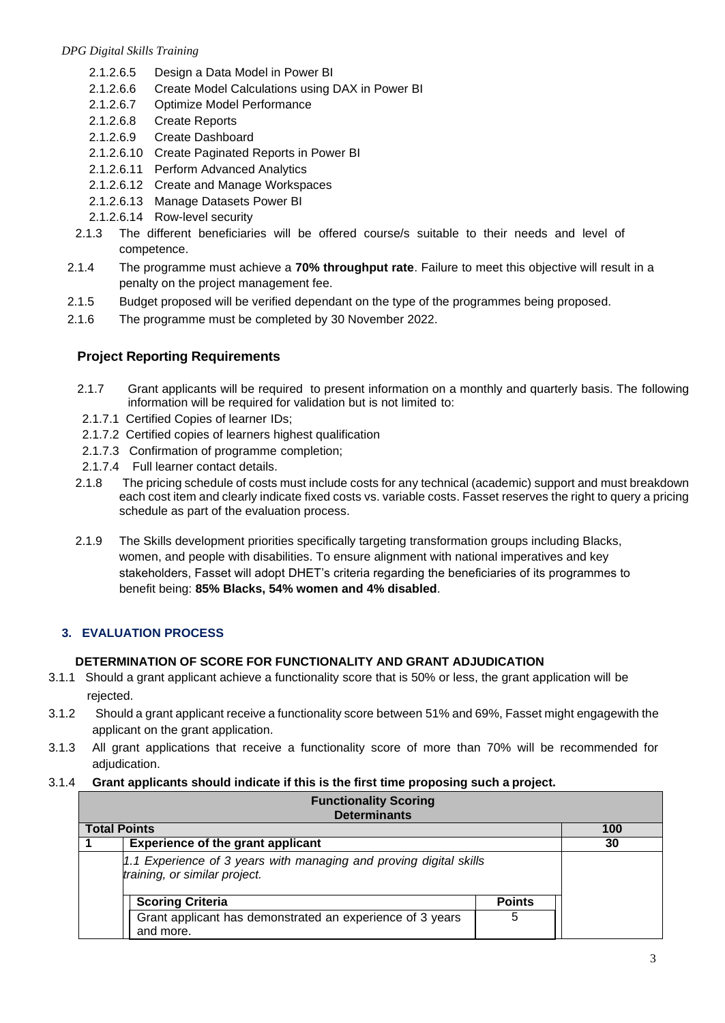- 2.1.2.6.5 Design a Data Model in Power BI
- 2.1.2.6.6 Create Model Calculations using DAX in Power BI
- 2.1.2.6.7 Optimize Model Performance
- 2.1.2.6.8 Create Reports
- 2.1.2.6.9 Create Dashboard
- 2.1.2.6.10 Create Paginated Reports in Power BI
- 2.1.2.6.11 Perform Advanced Analytics
- 2.1.2.6.12 Create and Manage Workspaces
- 2.1.2.6.13 Manage Datasets Power BI
- 2.1.2.6.14 Row-level security
- 2.1.3 The different beneficiaries will be offered course/s suitable to their needs and level of competence.
- 2.1.4 The programme must achieve a **70% throughput rate**. Failure to meet this objective will result in a penalty on the project management fee.
- 2.1.5 Budget proposed will be verified dependant on the type of the programmes being proposed.
- 2.1.6 The programme must be completed by 30 November 2022.

# **Project Reporting Requirements**

- 2.1.7 Grant applicants will be required to present information on a monthly and quarterly basis. The following information will be required for validation but is not limited to:
- 2.1.7.1 Certified Copies of learner IDs;
- 2.1.7.2 Certified copies of learners highest qualification
- 2.1.7.3 Confirmation of programme completion;
- 2.1.7.4 Full learner contact details.
- 2.1.8 The pricing schedule of costs must include costs for any technical (academic) support and must breakdown each cost item and clearly indicate fixed costs vs. variable costs. Fasset reserves the right to query a pricing schedule as part of the evaluation process.
- 2.1.9 The Skills development priorities specifically targeting transformation groups including Blacks, women, and people with disabilities. To ensure alignment with national imperatives and key stakeholders, Fasset will adopt DHET's criteria regarding the beneficiaries of its programmes to benefit being: **85% Blacks, 54% women and 4% disabled**.

# **3. EVALUATION PROCESS**

# **DETERMINATION OF SCORE FOR FUNCTIONALITY AND GRANT ADJUDICATION**

- 3.1.1 Should a grant applicant achieve a functionality score that is 50% or less, the grant application will be rejected.
- 3.1.2 Should a grant applicant receive a functionality score between 51% and 69%, Fasset might engagewith the applicant on the grant application.
- 3.1.3 All grant applications that receive a functionality score of more than 70% will be recommended for adiudication.

# 3.1.4 **Grant applicants should indicate if this is the first time proposing such a project.**

| <b>Functionality Scoring</b><br><b>Determinants</b>                                                 |                         |               |     |  |
|-----------------------------------------------------------------------------------------------------|-------------------------|---------------|-----|--|
| <b>Total Points</b>                                                                                 |                         |               | 100 |  |
| <b>Experience of the grant applicant</b>                                                            |                         |               | 30  |  |
| 1.1 Experience of 3 years with managing and proving digital skills<br>training, or similar project. |                         |               |     |  |
|                                                                                                     | <b>Scoring Criteria</b> | <b>Points</b> |     |  |
| Grant applicant has demonstrated an experience of 3 years<br>5                                      |                         |               |     |  |
|                                                                                                     | and more.               |               |     |  |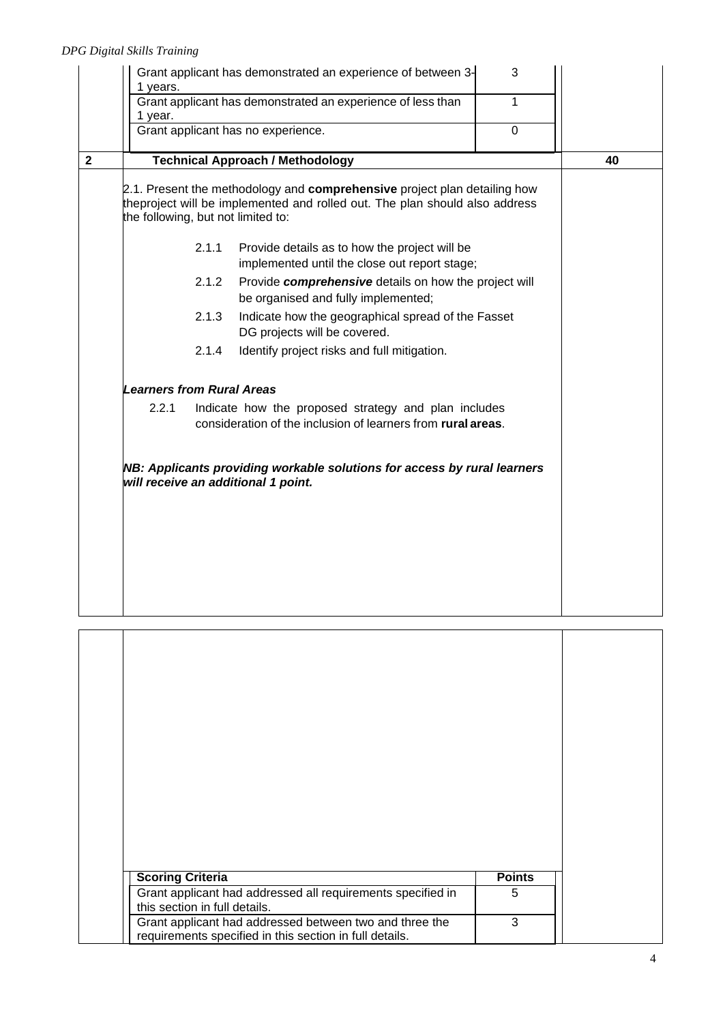|              | 1 years.                                                                                                        |                                                                                             | Grant applicant has demonstrated an experience of between 3-                                                                                             | 3 |    |
|--------------|-----------------------------------------------------------------------------------------------------------------|---------------------------------------------------------------------------------------------|----------------------------------------------------------------------------------------------------------------------------------------------------------|---|----|
|              | 1 year.                                                                                                         |                                                                                             | Grant applicant has demonstrated an experience of less than                                                                                              | 1 |    |
|              |                                                                                                                 |                                                                                             | Grant applicant has no experience.                                                                                                                       | 0 |    |
| $\mathbf{2}$ | <b>Technical Approach / Methodology</b>                                                                         |                                                                                             |                                                                                                                                                          |   | 40 |
|              | the following, but not limited to:                                                                              |                                                                                             | 2.1. Present the methodology and comprehensive project plan detailing how<br>theproject will be implemented and rolled out. The plan should also address |   |    |
|              |                                                                                                                 | 2.1.1                                                                                       | Provide details as to how the project will be<br>implemented until the close out report stage;                                                           |   |    |
|              | Provide comprehensive details on how the project will<br>2.1.2<br>be organised and fully implemented;           |                                                                                             |                                                                                                                                                          |   |    |
|              |                                                                                                                 | 2.1.3<br>Indicate how the geographical spread of the Fasset<br>DG projects will be covered. |                                                                                                                                                          |   |    |
|              |                                                                                                                 | 2.1.4<br>Identify project risks and full mitigation.                                        |                                                                                                                                                          |   |    |
|              | <b>Learners from Rural Areas</b>                                                                                |                                                                                             |                                                                                                                                                          |   |    |
|              | 2.2.1                                                                                                           |                                                                                             | Indicate how the proposed strategy and plan includes<br>consideration of the inclusion of learners from rural areas.                                     |   |    |
|              | NB: Applicants providing workable solutions for access by rural learners<br>will receive an additional 1 point. |                                                                                             |                                                                                                                                                          |   |    |
|              |                                                                                                                 |                                                                                             |                                                                                                                                                          |   |    |
|              |                                                                                                                 |                                                                                             |                                                                                                                                                          |   |    |
|              |                                                                                                                 |                                                                                             |                                                                                                                                                          |   |    |

| <b>Scoring Criteria</b>                                                                                            | <b>Points</b> |  |
|--------------------------------------------------------------------------------------------------------------------|---------------|--|
| Grant applicant had addressed all requirements specified in<br>this section in full details.                       | 5             |  |
| Grant applicant had addressed between two and three the<br>requirements specified in this section in full details. | 3             |  |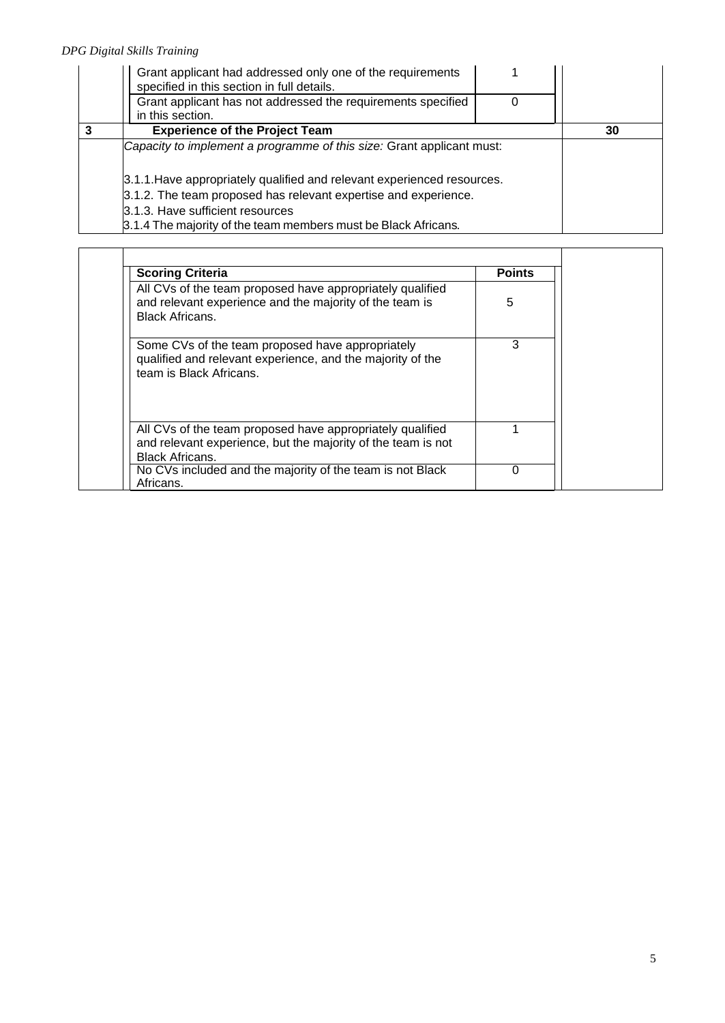| Grant applicant had addressed only one of the requirements<br>specified in this section in full details. |    |
|----------------------------------------------------------------------------------------------------------|----|
| Grant applicant has not addressed the requirements specified<br>in this section.                         |    |
| <b>Experience of the Project Team</b>                                                                    | 30 |
| Capacity to implement a programme of this size: Grant applicant must:                                    |    |
| 3.1.1. Have appropriately qualified and relevant experienced resources.                                  |    |
| 3.1.2. The team proposed has relevant expertise and experience.                                          |    |
| 3.1.3. Have sufficient resources                                                                         |    |
| 3.1.4 The majority of the team members must be Black Africans.                                           |    |

| <b>Scoring Criteria</b>                                                                                                                             | <b>Points</b> |
|-----------------------------------------------------------------------------------------------------------------------------------------------------|---------------|
| All CVs of the team proposed have appropriately qualified<br>and relevant experience and the majority of the team is<br><b>Black Africans.</b>      | 5             |
| Some CVs of the team proposed have appropriately<br>qualified and relevant experience, and the majority of the<br>team is Black Africans.           | 3             |
| All CVs of the team proposed have appropriately qualified<br>and relevant experience, but the majority of the team is not<br><b>Black Africans.</b> |               |
| No CVs included and the majority of the team is not Black<br>Africans.                                                                              | 0             |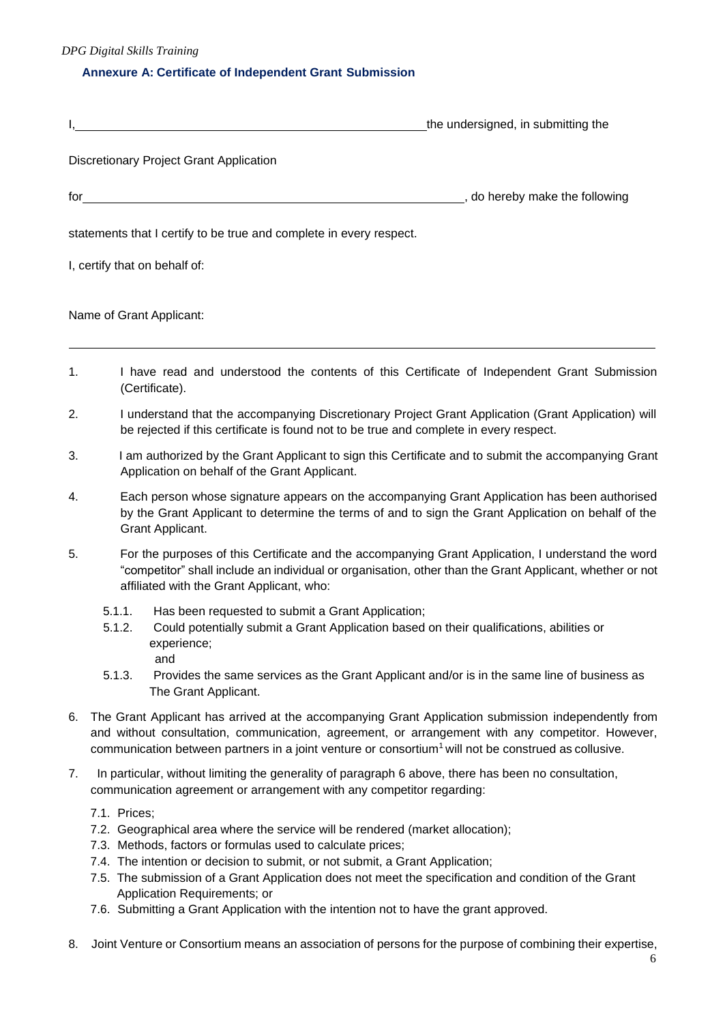*DPG Digital Skills Training* 

## **Annexure A: Certificate of Independent Grant Submission**

|                                                                     | the undersigned, in submitting the |
|---------------------------------------------------------------------|------------------------------------|
| Discretionary Project Grant Application                             |                                    |
| for                                                                 | _, do hereby make the following    |
| statements that I certify to be true and complete in every respect. |                                    |
| I, certify that on behalf of:                                       |                                    |
| Name of Grant Applicant:                                            |                                    |

- 1. I have read and understood the contents of this Certificate of Independent Grant Submission (Certificate).
- 2. I understand that the accompanying Discretionary Project Grant Application (Grant Application) will be rejected if this certificate is found not to be true and complete in every respect.
- 3. I am authorized by the Grant Applicant to sign this Certificate and to submit the accompanying Grant Application on behalf of the Grant Applicant.
- 4. Each person whose signature appears on the accompanying Grant Application has been authorised by the Grant Applicant to determine the terms of and to sign the Grant Application on behalf of the Grant Applicant.
- 5. For the purposes of this Certificate and the accompanying Grant Application, I understand the word "competitor" shall include an individual or organisation, other than the Grant Applicant, whether or not affiliated with the Grant Applicant, who:
	- 5.1.1. Has been requested to submit a Grant Application;
	- 5.1.2. Could potentially submit a Grant Application based on their qualifications, abilities or experience;
		- and
	- 5.1.3. Provides the same services as the Grant Applicant and/or is in the same line of business as The Grant Applicant.
- 6. The Grant Applicant has arrived at the accompanying Grant Application submission independently from and without consultation, communication, agreement, or arrangement with any competitor. However, communication between partners in a joint venture or consortium<sup>1</sup> will not be construed as collusive.
- 7. In particular, without limiting the generality of paragraph 6 above, there has been no consultation, communication agreement or arrangement with any competitor regarding:
	- 7.1. Prices;
	- 7.2. Geographical area where the service will be rendered (market allocation);
	- 7.3. Methods, factors or formulas used to calculate prices;
	- 7.4. The intention or decision to submit, or not submit, a Grant Application;
	- 7.5. The submission of a Grant Application does not meet the specification and condition of the Grant Application Requirements; or
	- 7.6. Submitting a Grant Application with the intention not to have the grant approved.
- 8. Joint Venture or Consortium means an association of persons for the purpose of combining their expertise,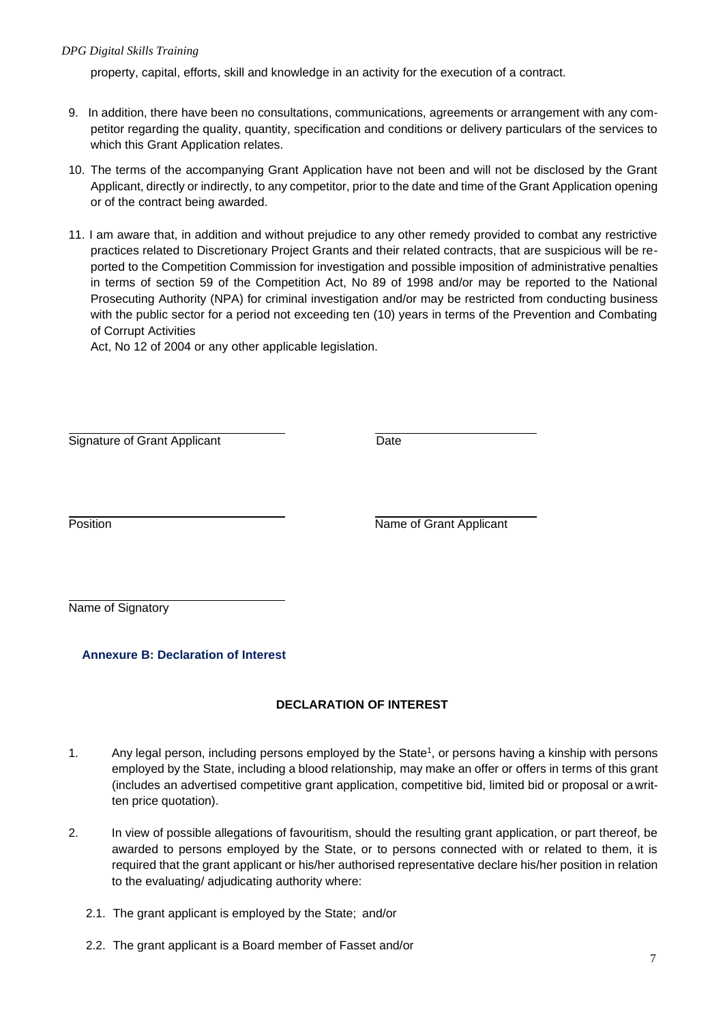## *DPG Digital Skills Training*

property, capital, efforts, skill and knowledge in an activity for the execution of a contract.

- 9. In addition, there have been no consultations, communications, agreements or arrangement with any competitor regarding the quality, quantity, specification and conditions or delivery particulars of the services to which this Grant Application relates.
- 10. The terms of the accompanying Grant Application have not been and will not be disclosed by the Grant Applicant, directly or indirectly, to any competitor, prior to the date and time of the Grant Application opening or of the contract being awarded.
- 11. I am aware that, in addition and without prejudice to any other remedy provided to combat any restrictive practices related to Discretionary Project Grants and their related contracts, that are suspicious will be reported to the Competition Commission for investigation and possible imposition of administrative penalties in terms of section 59 of the Competition Act, No 89 of 1998 and/or may be reported to the National Prosecuting Authority (NPA) for criminal investigation and/or may be restricted from conducting business with the public sector for a period not exceeding ten (10) years in terms of the Prevention and Combating of Corrupt Activities

Act, No 12 of 2004 or any other applicable legislation.

Signature of Grant Applicant **Date** 

Position **Name of Grant Applicant** 

Name of Signatory

**Annexure B: Declaration of Interest**

# **DECLARATION OF INTEREST**

- 1. Any legal person, including persons employed by the State<sup>1</sup>, or persons having a kinship with persons employed by the State, including a blood relationship, may make an offer or offers in terms of this grant (includes an advertised competitive grant application, competitive bid, limited bid or proposal or a written price quotation).
- 2. In view of possible allegations of favouritism, should the resulting grant application, or part thereof, be awarded to persons employed by the State, or to persons connected with or related to them, it is required that the grant applicant or his/her authorised representative declare his/her position in relation to the evaluating/ adjudicating authority where:
	- 2.1. The grant applicant is employed by the State; and/or
	- 2.2. The grant applicant is a Board member of Fasset and/or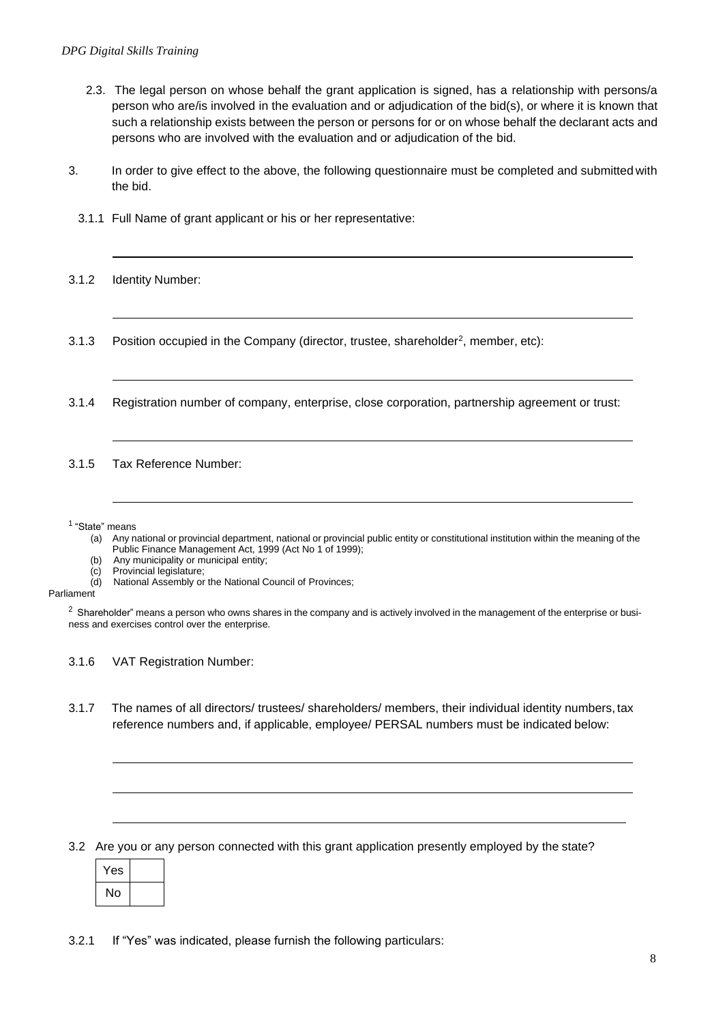- 2.3. The legal person on whose behalf the grant application is signed, has a relationship with persons/a person who are/is involved in the evaluation and or adjudication of the bid(s), or where it is known that such a relationship exists between the person or persons for or on whose behalf the declarant acts and persons who are involved with the evaluation and or adjudication of the bid.
- 3. In order to give effect to the above, the following questionnaire must be completed and submitted with the bid.
	- 3.1.1 Full Name of grant applicant or his or her representative:
- 3.1.2 Identity Number:
- 3.1.3 Position occupied in the Company (director, trustee, shareholder<sup>2</sup>, member, etc):
- 3.1.4 Registration number of company, enterprise, close corporation, partnership agreement or trust:

3.1.5 Tax Reference Number:

1 "State" means

- (a) Any national or provincial department, national or provincial public entity or constitutional institution within the meaning of the Public Finance Management Act, 1999 (Act No 1 of 1999);
- (b) Any municipality or municipal entity;
- (c) Provincial legislature;
- (d) National Assembly or the National Council of Provinces;

Parliament

<sup>2</sup> Shareholder" means a person who owns shares in the company and is actively involved in the management of the enterprise or business and exercises control over the enterprise.

3.1.6 VAT Registration Number:

3.1.7 The names of all directors/ trustees/ shareholders/ members, their individual identity numbers, tax reference numbers and, if applicable, employee/ PERSAL numbers must be indicated below:

3.2 Are you or any person connected with this grant application presently employed by the state?

| Yes |  |
|-----|--|
| No  |  |

3.2.1 If "Yes" was indicated, please furnish the following particulars: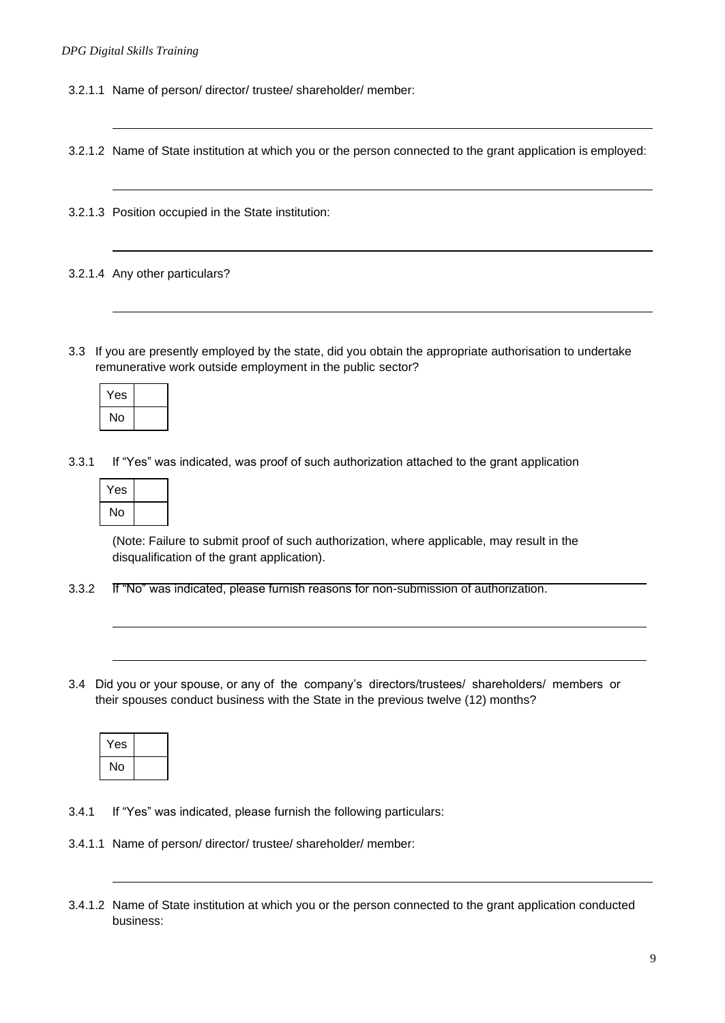3.2.1.1 Name of person/ director/ trustee/ shareholder/ member:

3.2.1.2 Name of State institution at which you or the person connected to the grant application is employed:

3.2.1.3 Position occupied in the State institution:

3.2.1.4 Any other particulars?

3.3 If you are presently employed by the state, did you obtain the appropriate authorisation to undertake remunerative work outside employment in the public sector?

| Yes |  |
|-----|--|
| No  |  |

3.3.1 If "Yes" was indicated, was proof of such authorization attached to the grant application

| Yes |  |
|-----|--|
| No  |  |

(Note: Failure to submit proof of such authorization, where applicable, may result in the disqualification of the grant application).

- 3.3.2 If "No" was indicated, please furnish reasons for non-submission of authorization.
- 3.4 Did you or your spouse, or any of the company's directors/trustees/ shareholders/ members or their spouses conduct business with the State in the previous twelve (12) months?

| Yes |  |
|-----|--|
| No  |  |

- 3.4.1 If "Yes" was indicated, please furnish the following particulars:
- 3.4.1.1 Name of person/ director/ trustee/ shareholder/ member:

<sup>3.4.1.2</sup> Name of State institution at which you or the person connected to the grant application conducted business: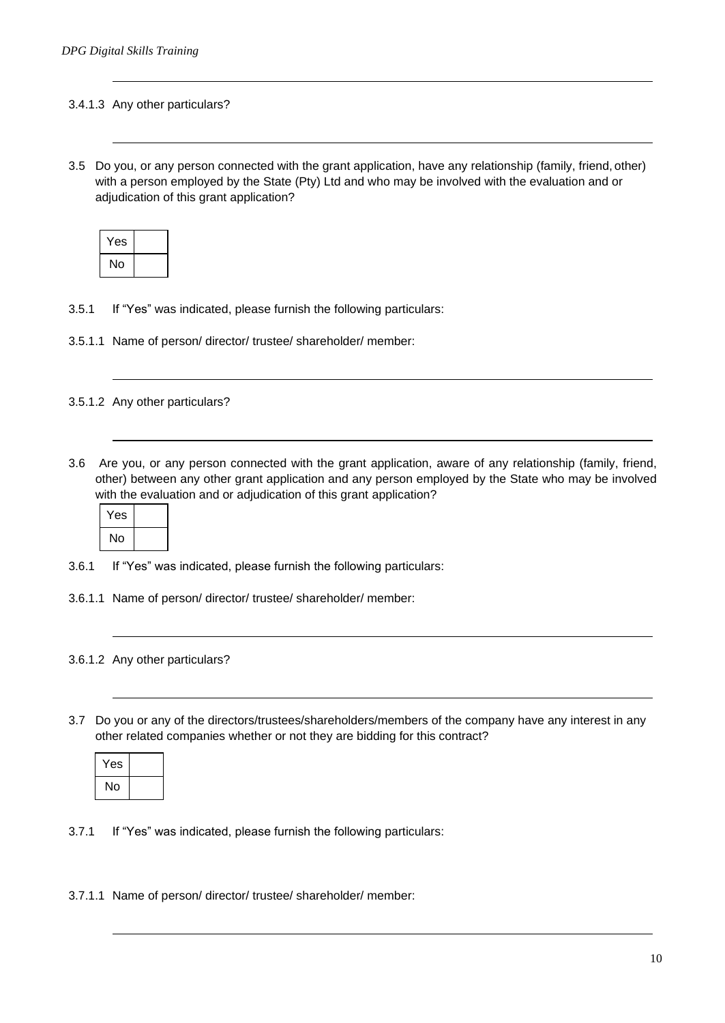### 3.4.1.3 Any other particulars?

3.5 Do you, or any person connected with the grant application, have any relationship (family, friend, other) with a person employed by the State (Pty) Ltd and who may be involved with the evaluation and or adjudication of this grant application?

| Yes |  |
|-----|--|
| No  |  |

- 3.5.1 If "Yes" was indicated, please furnish the following particulars:
- 3.5.1.1 Name of person/ director/ trustee/ shareholder/ member:

#### 3.5.1.2 Any other particulars?

3.6 Are you, or any person connected with the grant application, aware of any relationship (family, friend, other) between any other grant application and any person employed by the State who may be involved with the evaluation and or adjudication of this grant application?



- 3.6.1 If "Yes" was indicated, please furnish the following particulars:
- 3.6.1.1 Name of person/ director/ trustee/ shareholder/ member:

#### 3.6.1.2 Any other particulars?

3.7 Do you or any of the directors/trustees/shareholders/members of the company have any interest in any other related companies whether or not they are bidding for this contract?

| Yes |  |
|-----|--|
| No  |  |

- 3.7.1 If "Yes" was indicated, please furnish the following particulars:
- 3.7.1.1 Name of person/ director/ trustee/ shareholder/ member: